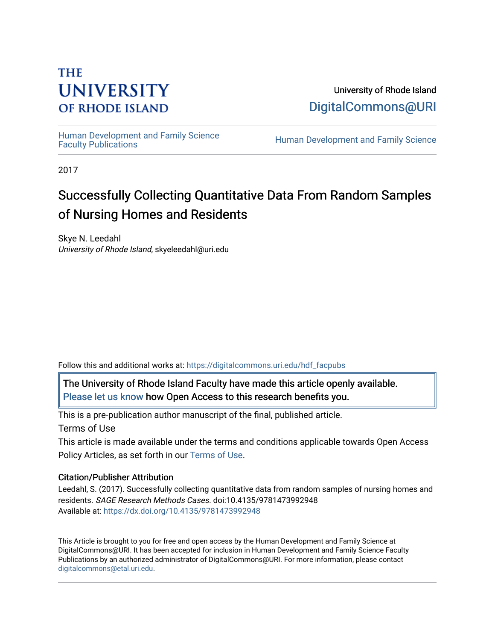## **THE UNIVERSITY OF RHODE ISLAND**

University of Rhode Island [DigitalCommons@URI](https://digitalcommons.uri.edu/) 

Human Development and Family Science<br>Faculty Publications

Human Development and Family Science

2017

# Successfully Collecting Quantitative Data From Random Samples of Nursing Homes and Residents

Skye N. Leedahl University of Rhode Island, skyeleedahl@uri.edu

Follow this and additional works at: [https://digitalcommons.uri.edu/hdf\\_facpubs](https://digitalcommons.uri.edu/hdf_facpubs?utm_source=digitalcommons.uri.edu%2Fhdf_facpubs%2F78&utm_medium=PDF&utm_campaign=PDFCoverPages) 

The University of Rhode Island Faculty have made this article openly available. [Please let us know](http://web.uri.edu/library-digital-initiatives/open-access-online-form/) how Open Access to this research benefits you.

This is a pre-publication author manuscript of the final, published article. Terms of Use

This article is made available under the terms and conditions applicable towards Open Access Policy Articles, as set forth in our [Terms of Use](https://digitalcommons.uri.edu/hdf_facpubs/oa_policy_terms.html).

#### Citation/Publisher Attribution

Leedahl, S. (2017). Successfully collecting quantitative data from random samples of nursing homes and residents. SAGE Research Methods Cases. doi:10.4135/9781473992948 Available at:<https://dx.doi.org/10.4135/9781473992948>

This Article is brought to you for free and open access by the Human Development and Family Science at DigitalCommons@URI. It has been accepted for inclusion in Human Development and Family Science Faculty Publications by an authorized administrator of DigitalCommons@URI. For more information, please contact [digitalcommons@etal.uri.edu](mailto:digitalcommons@etal.uri.edu).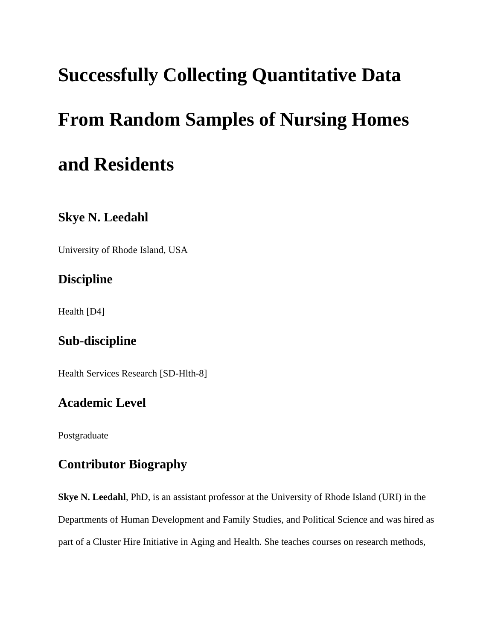# **Successfully Collecting Quantitative Data From Random Samples of Nursing Homes and Residents**

## **Skye N. Leedahl**

University of Rhode Island, USA

## **Discipline**

Health [D4]

## **Sub-discipline**

Health Services Research [SD-Hlth-8]

## **Academic Level**

Postgraduate

## **Contributor Biography**

**Skye N. Leedahl**, PhD, is an assistant professor at the University of Rhode Island (URI) in the Departments of Human Development and Family Studies, and Political Science and was hired as part of a Cluster Hire Initiative in Aging and Health. She teaches courses on research methods,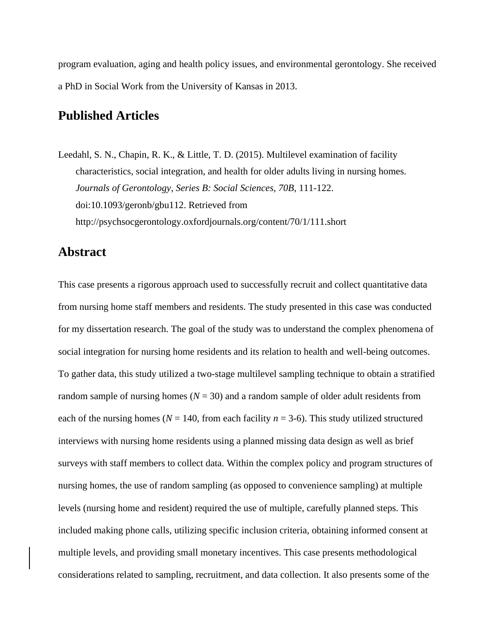program evaluation, aging and health policy issues, and environmental gerontology. She received a PhD in Social Work from the University of Kansas in 2013.

#### **Published Articles**

Leedahl, S. N., Chapin, R. K., & Little, T. D. (2015). Multilevel examination of facility characteristics, social integration, and health for older adults living in nursing homes. *Journals of Gerontology, Series B: Social Sciences, 70B*, 111-122. doi:10.1093/geronb/gbu112. Retrieved from http://psychsocgerontology.oxfordjournals.org/content/70/1/111.short

#### **Abstract**

This case presents a rigorous approach used to successfully recruit and collect quantitative data from nursing home staff members and residents. The study presented in this case was conducted for my dissertation research. The goal of the study was to understand the complex phenomena of social integration for nursing home residents and its relation to health and well-being outcomes. To gather data, this study utilized a two-stage multilevel sampling technique to obtain a stratified random sample of nursing homes  $(N = 30)$  and a random sample of older adult residents from each of the nursing homes ( $N = 140$ , from each facility  $n = 3-6$ ). This study utilized structured interviews with nursing home residents using a planned missing data design as well as brief surveys with staff members to collect data. Within the complex policy and program structures of nursing homes, the use of random sampling (as opposed to convenience sampling) at multiple levels (nursing home and resident) required the use of multiple, carefully planned steps. This included making phone calls, utilizing specific inclusion criteria, obtaining informed consent at multiple levels, and providing small monetary incentives. This case presents methodological considerations related to sampling, recruitment, and data collection. It also presents some of the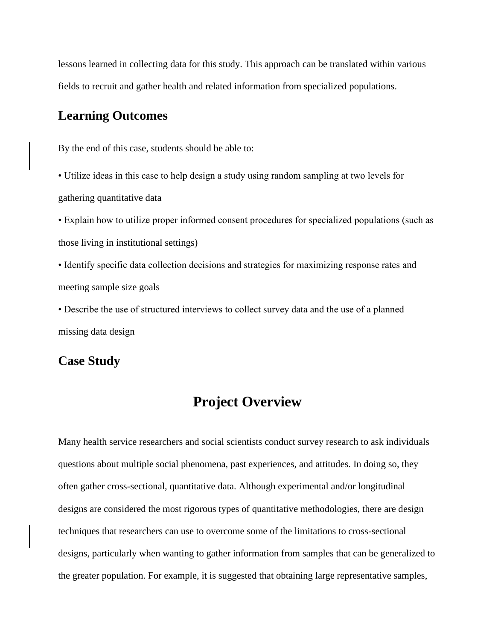lessons learned in collecting data for this study. This approach can be translated within various fields to recruit and gather health and related information from specialized populations.

#### **Learning Outcomes**

By the end of this case, students should be able to:

• Utilize ideas in this case to help design a study using random sampling at two levels for gathering quantitative data

• Explain how to utilize proper informed consent procedures for specialized populations (such as those living in institutional settings)

• Identify specific data collection decisions and strategies for maximizing response rates and meeting sample size goals

• Describe the use of structured interviews to collect survey data and the use of a planned missing data design

#### **Case Study**

## **Project Overview**

Many health service researchers and social scientists conduct survey research to ask individuals questions about multiple social phenomena, past experiences, and attitudes. In doing so, they often gather cross-sectional, quantitative data. Although experimental and/or longitudinal designs are considered the most rigorous types of quantitative methodologies, there are design techniques that researchers can use to overcome some of the limitations to cross-sectional designs, particularly when wanting to gather information from samples that can be generalized to the greater population. For example, it is suggested that obtaining large representative samples,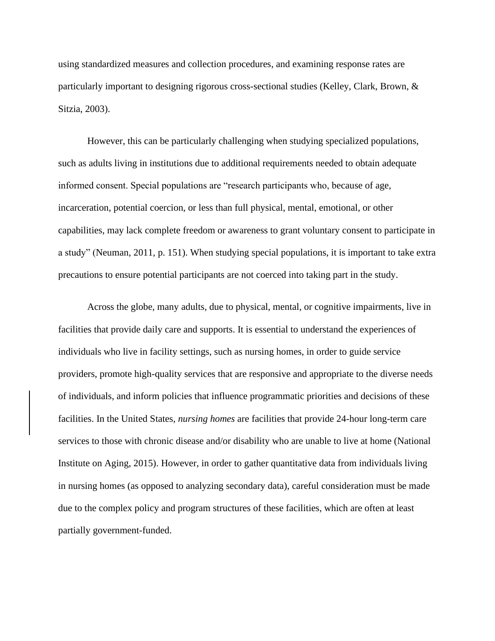using standardized measures and collection procedures, and examining response rates are particularly important to designing rigorous cross-sectional studies (Kelley, Clark, Brown, & Sitzia, 2003).

However, this can be particularly challenging when studying specialized populations, such as adults living in institutions due to additional requirements needed to obtain adequate informed consent. Special populations are "research participants who, because of age, incarceration, potential coercion, or less than full physical, mental, emotional, or other capabilities, may lack complete freedom or awareness to grant voluntary consent to participate in a study" (Neuman, 2011, p. 151). When studying special populations, it is important to take extra precautions to ensure potential participants are not coerced into taking part in the study.

Across the globe, many adults, due to physical, mental, or cognitive impairments, live in facilities that provide daily care and supports. It is essential to understand the experiences of individuals who live in facility settings, such as nursing homes, in order to guide service providers, promote high-quality services that are responsive and appropriate to the diverse needs of individuals, and inform policies that influence programmatic priorities and decisions of these facilities. In the United States, *nursing homes* are facilities that provide 24-hour long-term care services to those with chronic disease and/or disability who are unable to live at home (National Institute on Aging, 2015). However, in order to gather quantitative data from individuals living in nursing homes (as opposed to analyzing secondary data), careful consideration must be made due to the complex policy and program structures of these facilities, which are often at least partially government-funded.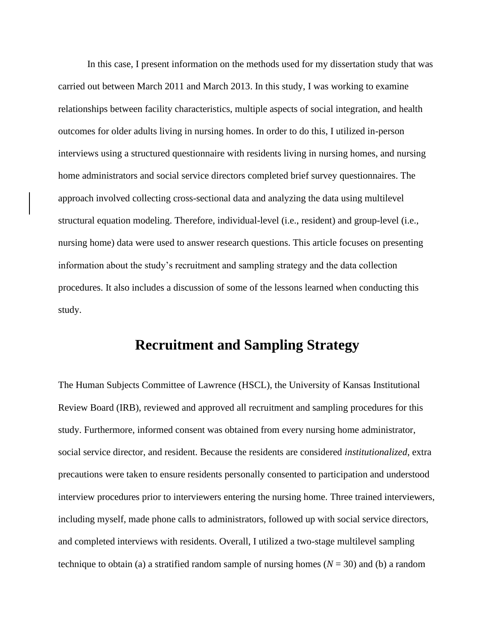In this case, I present information on the methods used for my dissertation study that was carried out between March 2011 and March 2013. In this study, I was working to examine relationships between facility characteristics, multiple aspects of social integration, and health outcomes for older adults living in nursing homes. In order to do this, I utilized in-person interviews using a structured questionnaire with residents living in nursing homes, and nursing home administrators and social service directors completed brief survey questionnaires. The approach involved collecting cross-sectional data and analyzing the data using multilevel structural equation modeling. Therefore, individual-level (i.e., resident) and group-level (i.e., nursing home) data were used to answer research questions. This article focuses on presenting information about the study's recruitment and sampling strategy and the data collection procedures. It also includes a discussion of some of the lessons learned when conducting this study.

## **Recruitment and Sampling Strategy**

The Human Subjects Committee of Lawrence (HSCL), the University of Kansas Institutional Review Board (IRB), reviewed and approved all recruitment and sampling procedures for this study. Furthermore, informed consent was obtained from every nursing home administrator, social service director, and resident. Because the residents are considered *institutionalized*, extra precautions were taken to ensure residents personally consented to participation and understood interview procedures prior to interviewers entering the nursing home. Three trained interviewers, including myself, made phone calls to administrators, followed up with social service directors, and completed interviews with residents. Overall, I utilized a two-stage multilevel sampling technique to obtain (a) a stratified random sample of nursing homes  $(N = 30)$  and (b) a random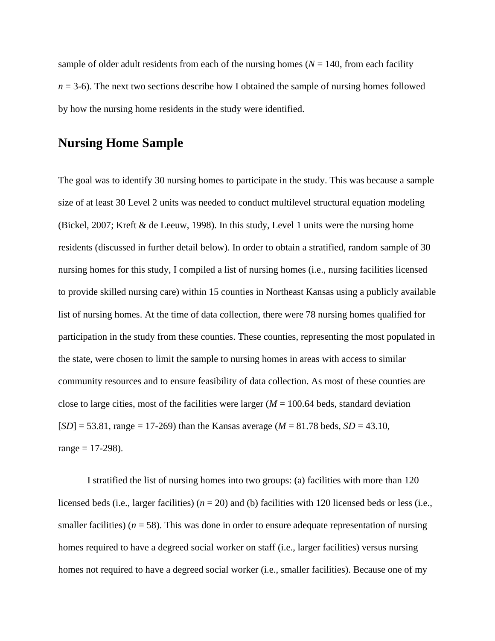sample of older adult residents from each of the nursing homes  $(N = 140)$ , from each facility  $n = 3-6$ ). The next two sections describe how I obtained the sample of nursing homes followed by how the nursing home residents in the study were identified.

#### **Nursing Home Sample**

The goal was to identify 30 nursing homes to participate in the study. This was because a sample size of at least 30 Level 2 units was needed to conduct multilevel structural equation modeling (Bickel, 2007; Kreft & de Leeuw, 1998). In this study, Level 1 units were the nursing home residents (discussed in further detail below). In order to obtain a stratified, random sample of 30 nursing homes for this study, I compiled a list of nursing homes (i.e., nursing facilities licensed to provide skilled nursing care) within 15 counties in Northeast Kansas using a publicly available list of nursing homes. At the time of data collection, there were 78 nursing homes qualified for participation in the study from these counties. These counties, representing the most populated in the state, were chosen to limit the sample to nursing homes in areas with access to similar community resources and to ensure feasibility of data collection. As most of these counties are close to large cities, most of the facilities were larger  $(M = 100.64$  beds, standard deviation [*SD*] = 53.81, range = 17-269) than the Kansas average (*M* = 81.78 beds, *SD* = 43.10,  $range = 17-298$ ).

I stratified the list of nursing homes into two groups: (a) facilities with more than 120 licensed beds (i.e., larger facilities) ( $n = 20$ ) and (b) facilities with 120 licensed beds or less (i.e., smaller facilities) ( $n = 58$ ). This was done in order to ensure adequate representation of nursing homes required to have a degreed social worker on staff (i.e., larger facilities) versus nursing homes not required to have a degreed social worker (i.e., smaller facilities). Because one of my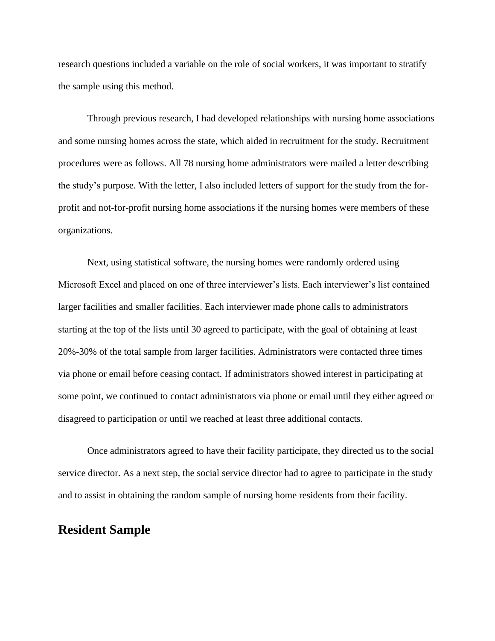research questions included a variable on the role of social workers, it was important to stratify the sample using this method.

Through previous research, I had developed relationships with nursing home associations and some nursing homes across the state, which aided in recruitment for the study. Recruitment procedures were as follows. All 78 nursing home administrators were mailed a letter describing the study's purpose. With the letter, I also included letters of support for the study from the forprofit and not-for-profit nursing home associations if the nursing homes were members of these organizations.

Next, using statistical software, the nursing homes were randomly ordered using Microsoft Excel and placed on one of three interviewer's lists. Each interviewer's list contained larger facilities and smaller facilities. Each interviewer made phone calls to administrators starting at the top of the lists until 30 agreed to participate, with the goal of obtaining at least 20%-30% of the total sample from larger facilities. Administrators were contacted three times via phone or email before ceasing contact. If administrators showed interest in participating at some point, we continued to contact administrators via phone or email until they either agreed or disagreed to participation or until we reached at least three additional contacts.

Once administrators agreed to have their facility participate, they directed us to the social service director. As a next step, the social service director had to agree to participate in the study and to assist in obtaining the random sample of nursing home residents from their facility.

#### **Resident Sample**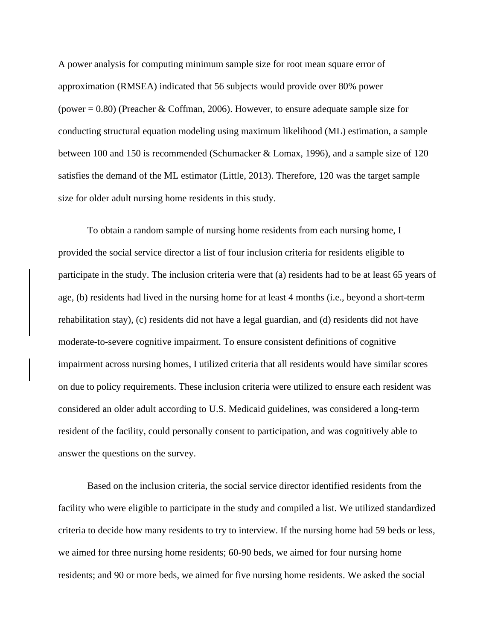A power analysis for computing minimum sample size for root mean square error of approximation (RMSEA) indicated that 56 subjects would provide over 80% power (power  $= 0.80$ ) (Preacher & Coffman, 2006). However, to ensure adequate sample size for conducting structural equation modeling using maximum likelihood (ML) estimation, a sample between 100 and 150 is recommended (Schumacker & Lomax, 1996), and a sample size of 120 satisfies the demand of the ML estimator (Little, 2013). Therefore, 120 was the target sample size for older adult nursing home residents in this study.

To obtain a random sample of nursing home residents from each nursing home, I provided the social service director a list of four inclusion criteria for residents eligible to participate in the study. The inclusion criteria were that (a) residents had to be at least 65 years of age, (b) residents had lived in the nursing home for at least 4 months (i.e., beyond a short-term rehabilitation stay), (c) residents did not have a legal guardian, and (d) residents did not have moderate-to-severe cognitive impairment. To ensure consistent definitions of cognitive impairment across nursing homes, I utilized criteria that all residents would have similar scores on due to policy requirements. These inclusion criteria were utilized to ensure each resident was considered an older adult according to U.S. Medicaid guidelines, was considered a long-term resident of the facility, could personally consent to participation, and was cognitively able to answer the questions on the survey.

Based on the inclusion criteria, the social service director identified residents from the facility who were eligible to participate in the study and compiled a list. We utilized standardized criteria to decide how many residents to try to interview. If the nursing home had 59 beds or less, we aimed for three nursing home residents; 60-90 beds, we aimed for four nursing home residents; and 90 or more beds, we aimed for five nursing home residents. We asked the social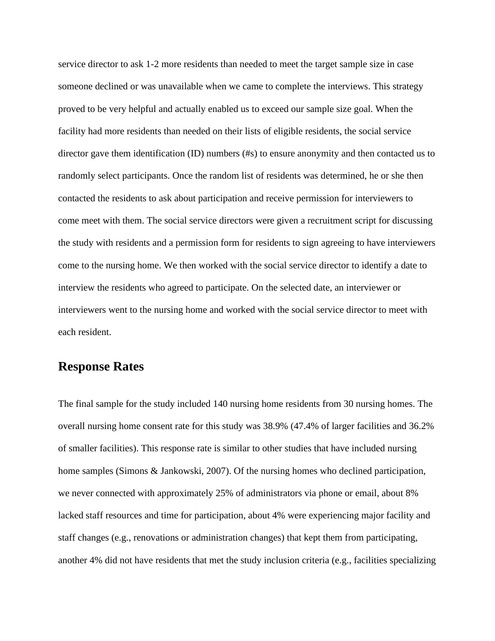service director to ask 1-2 more residents than needed to meet the target sample size in case someone declined or was unavailable when we came to complete the interviews. This strategy proved to be very helpful and actually enabled us to exceed our sample size goal. When the facility had more residents than needed on their lists of eligible residents, the social service director gave them identification (ID) numbers (#s) to ensure anonymity and then contacted us to randomly select participants. Once the random list of residents was determined, he or she then contacted the residents to ask about participation and receive permission for interviewers to come meet with them. The social service directors were given a recruitment script for discussing the study with residents and a permission form for residents to sign agreeing to have interviewers come to the nursing home. We then worked with the social service director to identify a date to interview the residents who agreed to participate. On the selected date, an interviewer or interviewers went to the nursing home and worked with the social service director to meet with each resident.

## **Response Rates**

The final sample for the study included 140 nursing home residents from 30 nursing homes. The overall nursing home consent rate for this study was 38.9% (47.4% of larger facilities and 36.2% of smaller facilities). This response rate is similar to other studies that have included nursing home samples (Simons & Jankowski, 2007). Of the nursing homes who declined participation, we never connected with approximately 25% of administrators via phone or email, about 8% lacked staff resources and time for participation, about 4% were experiencing major facility and staff changes (e.g., renovations or administration changes) that kept them from participating, another 4% did not have residents that met the study inclusion criteria (e.g., facilities specializing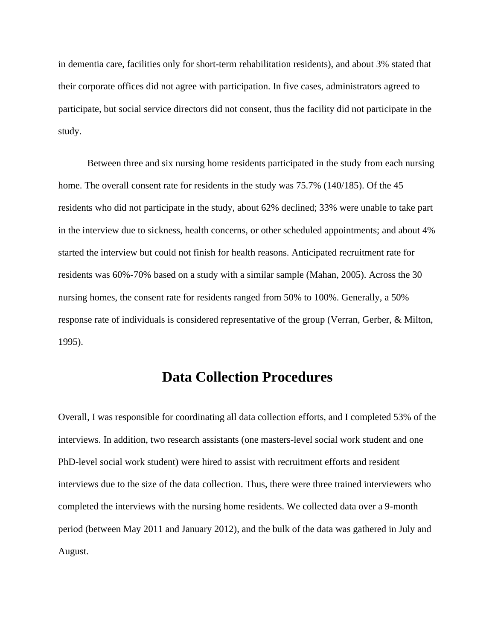in dementia care, facilities only for short-term rehabilitation residents), and about 3% stated that their corporate offices did not agree with participation. In five cases, administrators agreed to participate, but social service directors did not consent, thus the facility did not participate in the study.

Between three and six nursing home residents participated in the study from each nursing home. The overall consent rate for residents in the study was 75.7% (140/185). Of the 45 residents who did not participate in the study, about 62% declined; 33% were unable to take part in the interview due to sickness, health concerns, or other scheduled appointments; and about 4% started the interview but could not finish for health reasons. Anticipated recruitment rate for residents was 60%-70% based on a study with a similar sample (Mahan, 2005). Across the 30 nursing homes, the consent rate for residents ranged from 50% to 100%. Generally, a 50% response rate of individuals is considered representative of the group (Verran, Gerber, & Milton, 1995).

## **Data Collection Procedures**

Overall, I was responsible for coordinating all data collection efforts, and I completed 53% of the interviews. In addition, two research assistants (one masters-level social work student and one PhD-level social work student) were hired to assist with recruitment efforts and resident interviews due to the size of the data collection. Thus, there were three trained interviewers who completed the interviews with the nursing home residents. We collected data over a 9-month period (between May 2011 and January 2012), and the bulk of the data was gathered in July and August.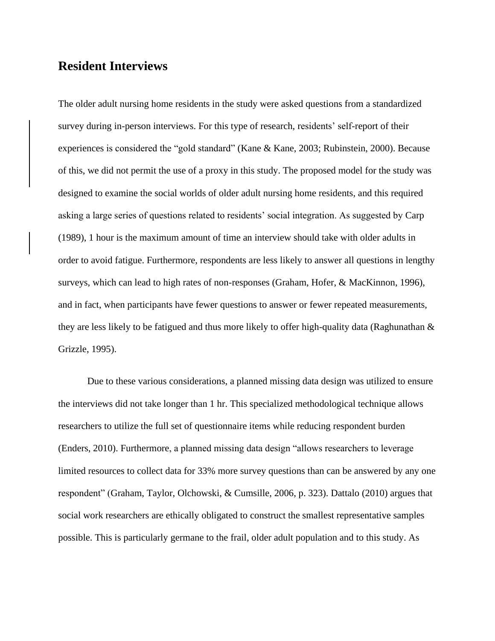### **Resident Interviews**

The older adult nursing home residents in the study were asked questions from a standardized survey during in-person interviews. For this type of research, residents' self-report of their experiences is considered the "gold standard" (Kane & Kane, 2003; Rubinstein, 2000). Because of this, we did not permit the use of a proxy in this study. The proposed model for the study was designed to examine the social worlds of older adult nursing home residents, and this required asking a large series of questions related to residents' social integration. As suggested by Carp (1989), 1 hour is the maximum amount of time an interview should take with older adults in order to avoid fatigue. Furthermore, respondents are less likely to answer all questions in lengthy surveys, which can lead to high rates of non-responses (Graham, Hofer, & MacKinnon, 1996), and in fact, when participants have fewer questions to answer or fewer repeated measurements, they are less likely to be fatigued and thus more likely to offer high-quality data (Raghunathan & Grizzle, 1995).

Due to these various considerations, a planned missing data design was utilized to ensure the interviews did not take longer than 1 hr. This specialized methodological technique allows researchers to utilize the full set of questionnaire items while reducing respondent burden (Enders, 2010). Furthermore, a planned missing data design "allows researchers to leverage limited resources to collect data for 33% more survey questions than can be answered by any one respondent" (Graham, Taylor, Olchowski, & Cumsille, 2006, p. 323). Dattalo (2010) argues that social work researchers are ethically obligated to construct the smallest representative samples possible. This is particularly germane to the frail, older adult population and to this study. As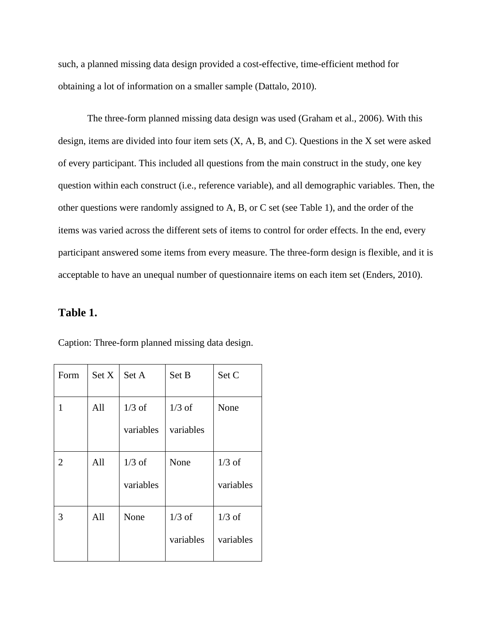such, a planned missing data design provided a cost-effective, time-efficient method for obtaining a lot of information on a smaller sample (Dattalo, 2010).

The three-form planned missing data design was used (Graham et al., 2006). With this design, items are divided into four item sets (X, A, B, and C). Questions in the X set were asked of every participant. This included all questions from the main construct in the study, one key question within each construct (i.e., reference variable), and all demographic variables. Then, the other questions were randomly assigned to A, B, or C set (see Table 1), and the order of the items was varied across the different sets of items to control for order effects. In the end, every participant answered some items from every measure. The three-form design is flexible, and it is acceptable to have an unequal number of questionnaire items on each item set (Enders, 2010).

#### **Table 1.**

| Form | Set X | Set A     | Set B     | Set C     |
|------|-------|-----------|-----------|-----------|
| 1    | All   | $1/3$ of  | $1/3$ of  | None      |
|      |       | variables | variables |           |
| 2    | All   | $1/3$ of  | None      | $1/3$ of  |
|      |       | variables |           | variables |
| 3    | All   | None      | $1/3$ of  | $1/3$ of  |
|      |       |           | variables | variables |

Caption: Three-form planned missing data design.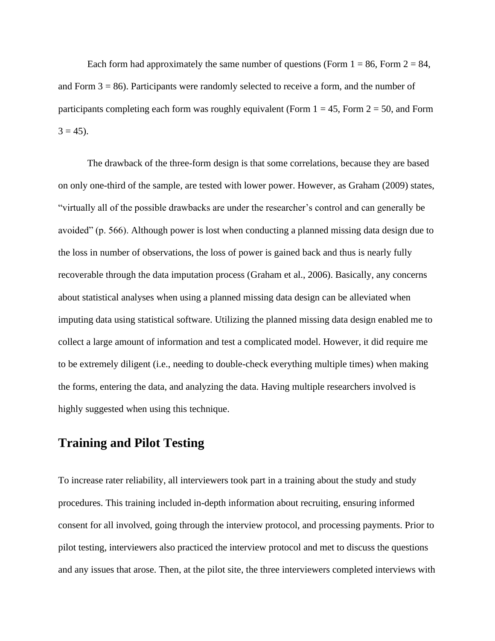Each form had approximately the same number of questions (Form  $1 = 86$ , Form  $2 = 84$ , and Form  $3 = 86$ ). Participants were randomly selected to receive a form, and the number of participants completing each form was roughly equivalent (Form  $1 = 45$ , Form  $2 = 50$ , and Form  $3 = 45$ ).

The drawback of the three-form design is that some correlations, because they are based on only one-third of the sample, are tested with lower power. However, as Graham (2009) states, "virtually all of the possible drawbacks are under the researcher's control and can generally be avoided" (p. 566). Although power is lost when conducting a planned missing data design due to the loss in number of observations, the loss of power is gained back and thus is nearly fully recoverable through the data imputation process (Graham et al., 2006). Basically, any concerns about statistical analyses when using a planned missing data design can be alleviated when imputing data using statistical software. Utilizing the planned missing data design enabled me to collect a large amount of information and test a complicated model. However, it did require me to be extremely diligent (i.e., needing to double-check everything multiple times) when making the forms, entering the data, and analyzing the data. Having multiple researchers involved is highly suggested when using this technique.

#### **Training and Pilot Testing**

To increase rater reliability, all interviewers took part in a training about the study and study procedures. This training included in-depth information about recruiting, ensuring informed consent for all involved, going through the interview protocol, and processing payments. Prior to pilot testing, interviewers also practiced the interview protocol and met to discuss the questions and any issues that arose. Then, at the pilot site, the three interviewers completed interviews with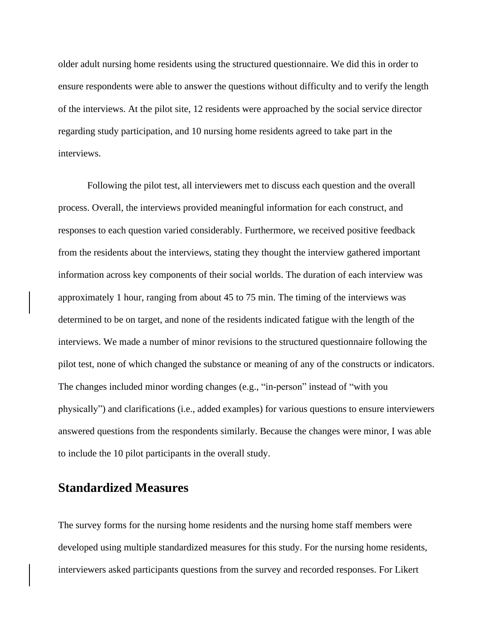older adult nursing home residents using the structured questionnaire. We did this in order to ensure respondents were able to answer the questions without difficulty and to verify the length of the interviews. At the pilot site, 12 residents were approached by the social service director regarding study participation, and 10 nursing home residents agreed to take part in the interviews.

Following the pilot test, all interviewers met to discuss each question and the overall process. Overall, the interviews provided meaningful information for each construct, and responses to each question varied considerably. Furthermore, we received positive feedback from the residents about the interviews, stating they thought the interview gathered important information across key components of their social worlds. The duration of each interview was approximately 1 hour, ranging from about 45 to 75 min. The timing of the interviews was determined to be on target, and none of the residents indicated fatigue with the length of the interviews. We made a number of minor revisions to the structured questionnaire following the pilot test, none of which changed the substance or meaning of any of the constructs or indicators. The changes included minor wording changes (e.g., "in-person" instead of "with you physically") and clarifications (i.e., added examples) for various questions to ensure interviewers answered questions from the respondents similarly. Because the changes were minor, I was able to include the 10 pilot participants in the overall study.

### **Standardized Measures**

The survey forms for the nursing home residents and the nursing home staff members were developed using multiple standardized measures for this study. For the nursing home residents, interviewers asked participants questions from the survey and recorded responses. For Likert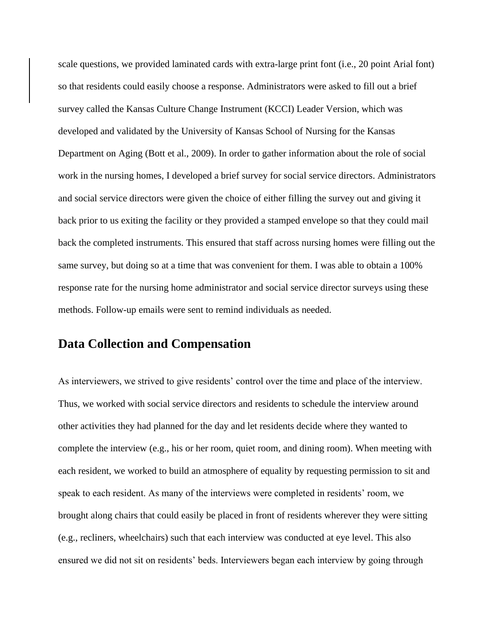scale questions, we provided laminated cards with extra-large print font (i.e., 20 point Arial font) so that residents could easily choose a response. Administrators were asked to fill out a brief survey called the Kansas Culture Change Instrument (KCCI) Leader Version, which was developed and validated by the University of Kansas School of Nursing for the Kansas Department on Aging (Bott et al., 2009). In order to gather information about the role of social work in the nursing homes, I developed a brief survey for social service directors. Administrators and social service directors were given the choice of either filling the survey out and giving it back prior to us exiting the facility or they provided a stamped envelope so that they could mail back the completed instruments. This ensured that staff across nursing homes were filling out the same survey, but doing so at a time that was convenient for them. I was able to obtain a 100% response rate for the nursing home administrator and social service director surveys using these methods. Follow-up emails were sent to remind individuals as needed.

## **Data Collection and Compensation**

As interviewers, we strived to give residents' control over the time and place of the interview. Thus, we worked with social service directors and residents to schedule the interview around other activities they had planned for the day and let residents decide where they wanted to complete the interview (e.g., his or her room, quiet room, and dining room). When meeting with each resident, we worked to build an atmosphere of equality by requesting permission to sit and speak to each resident. As many of the interviews were completed in residents' room, we brought along chairs that could easily be placed in front of residents wherever they were sitting (e.g., recliners, wheelchairs) such that each interview was conducted at eye level. This also ensured we did not sit on residents' beds. Interviewers began each interview by going through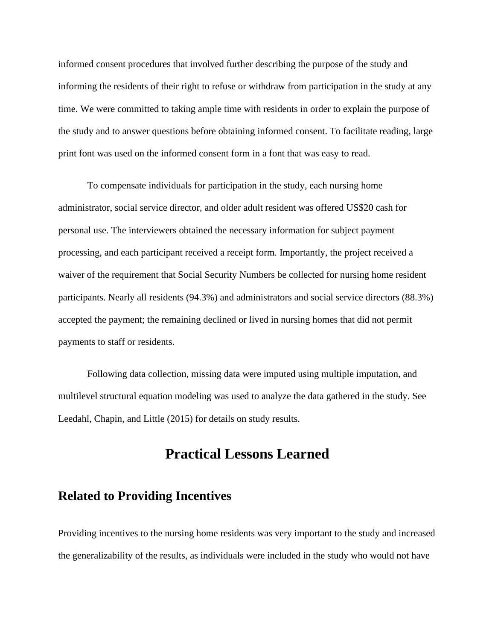informed consent procedures that involved further describing the purpose of the study and informing the residents of their right to refuse or withdraw from participation in the study at any time. We were committed to taking ample time with residents in order to explain the purpose of the study and to answer questions before obtaining informed consent. To facilitate reading, large print font was used on the informed consent form in a font that was easy to read.

To compensate individuals for participation in the study, each nursing home administrator, social service director, and older adult resident was offered US\$20 cash for personal use. The interviewers obtained the necessary information for subject payment processing, and each participant received a receipt form. Importantly, the project received a waiver of the requirement that Social Security Numbers be collected for nursing home resident participants. Nearly all residents (94.3%) and administrators and social service directors (88.3%) accepted the payment; the remaining declined or lived in nursing homes that did not permit payments to staff or residents.

Following data collection, missing data were imputed using multiple imputation, and multilevel structural equation modeling was used to analyze the data gathered in the study. See Leedahl, Chapin, and Little (2015) for details on study results.

## **Practical Lessons Learned**

#### **Related to Providing Incentives**

Providing incentives to the nursing home residents was very important to the study and increased the generalizability of the results, as individuals were included in the study who would not have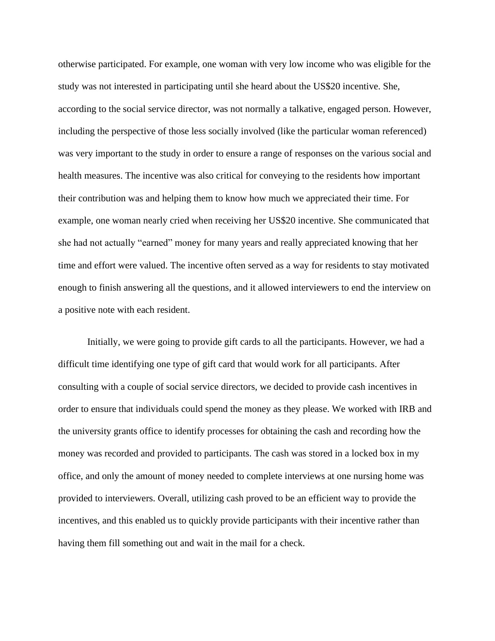otherwise participated. For example, one woman with very low income who was eligible for the study was not interested in participating until she heard about the US\$20 incentive. She, according to the social service director, was not normally a talkative, engaged person. However, including the perspective of those less socially involved (like the particular woman referenced) was very important to the study in order to ensure a range of responses on the various social and health measures. The incentive was also critical for conveying to the residents how important their contribution was and helping them to know how much we appreciated their time. For example, one woman nearly cried when receiving her US\$20 incentive. She communicated that she had not actually "earned" money for many years and really appreciated knowing that her time and effort were valued. The incentive often served as a way for residents to stay motivated enough to finish answering all the questions, and it allowed interviewers to end the interview on a positive note with each resident.

Initially, we were going to provide gift cards to all the participants. However, we had a difficult time identifying one type of gift card that would work for all participants. After consulting with a couple of social service directors, we decided to provide cash incentives in order to ensure that individuals could spend the money as they please. We worked with IRB and the university grants office to identify processes for obtaining the cash and recording how the money was recorded and provided to participants. The cash was stored in a locked box in my office, and only the amount of money needed to complete interviews at one nursing home was provided to interviewers. Overall, utilizing cash proved to be an efficient way to provide the incentives, and this enabled us to quickly provide participants with their incentive rather than having them fill something out and wait in the mail for a check.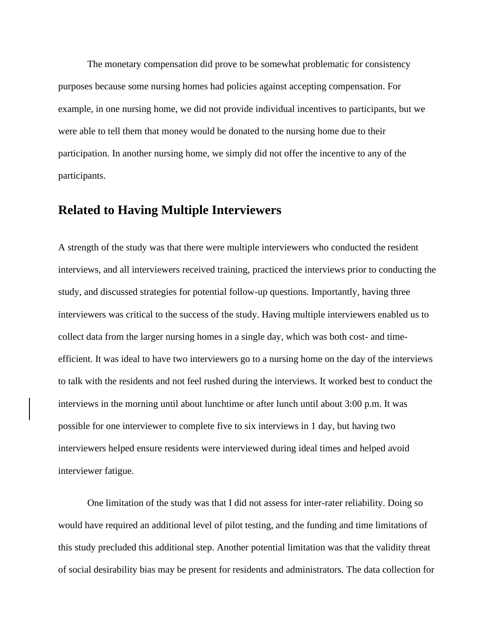The monetary compensation did prove to be somewhat problematic for consistency purposes because some nursing homes had policies against accepting compensation. For example, in one nursing home, we did not provide individual incentives to participants, but we were able to tell them that money would be donated to the nursing home due to their participation. In another nursing home, we simply did not offer the incentive to any of the participants.

### **Related to Having Multiple Interviewers**

A strength of the study was that there were multiple interviewers who conducted the resident interviews, and all interviewers received training, practiced the interviews prior to conducting the study, and discussed strategies for potential follow-up questions. Importantly, having three interviewers was critical to the success of the study. Having multiple interviewers enabled us to collect data from the larger nursing homes in a single day, which was both cost- and timeefficient. It was ideal to have two interviewers go to a nursing home on the day of the interviews to talk with the residents and not feel rushed during the interviews. It worked best to conduct the interviews in the morning until about lunchtime or after lunch until about 3:00 p.m. It was possible for one interviewer to complete five to six interviews in 1 day, but having two interviewers helped ensure residents were interviewed during ideal times and helped avoid interviewer fatigue.

One limitation of the study was that I did not assess for inter-rater reliability. Doing so would have required an additional level of pilot testing, and the funding and time limitations of this study precluded this additional step. Another potential limitation was that the validity threat of social desirability bias may be present for residents and administrators. The data collection for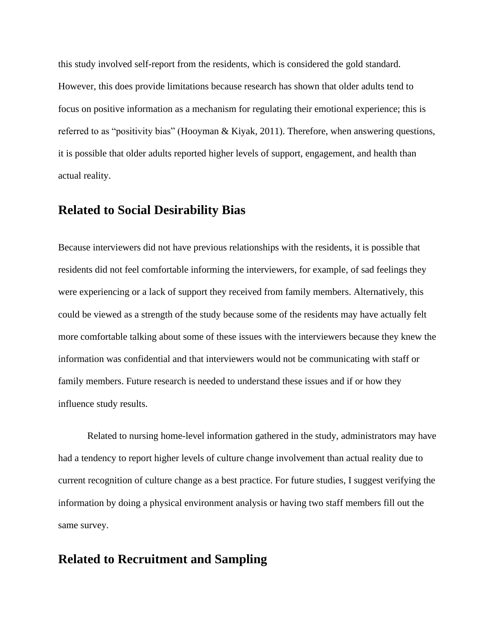this study involved self-report from the residents, which is considered the gold standard. However, this does provide limitations because research has shown that older adults tend to focus on positive information as a mechanism for regulating their emotional experience; this is referred to as "positivity bias" (Hooyman & Kiyak, 2011). Therefore, when answering questions, it is possible that older adults reported higher levels of support, engagement, and health than actual reality.

### **Related to Social Desirability Bias**

Because interviewers did not have previous relationships with the residents, it is possible that residents did not feel comfortable informing the interviewers, for example, of sad feelings they were experiencing or a lack of support they received from family members. Alternatively, this could be viewed as a strength of the study because some of the residents may have actually felt more comfortable talking about some of these issues with the interviewers because they knew the information was confidential and that interviewers would not be communicating with staff or family members. Future research is needed to understand these issues and if or how they influence study results.

Related to nursing home-level information gathered in the study, administrators may have had a tendency to report higher levels of culture change involvement than actual reality due to current recognition of culture change as a best practice. For future studies, I suggest verifying the information by doing a physical environment analysis or having two staff members fill out the same survey.

#### **Related to Recruitment and Sampling**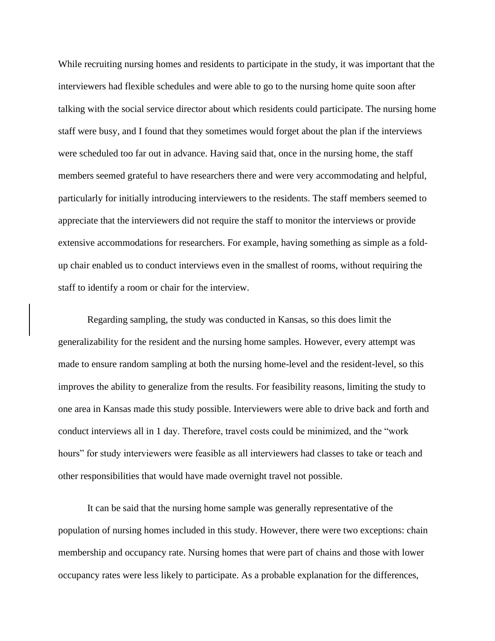While recruiting nursing homes and residents to participate in the study, it was important that the interviewers had flexible schedules and were able to go to the nursing home quite soon after talking with the social service director about which residents could participate. The nursing home staff were busy, and I found that they sometimes would forget about the plan if the interviews were scheduled too far out in advance. Having said that, once in the nursing home, the staff members seemed grateful to have researchers there and were very accommodating and helpful, particularly for initially introducing interviewers to the residents. The staff members seemed to appreciate that the interviewers did not require the staff to monitor the interviews or provide extensive accommodations for researchers. For example, having something as simple as a foldup chair enabled us to conduct interviews even in the smallest of rooms, without requiring the staff to identify a room or chair for the interview.

Regarding sampling, the study was conducted in Kansas, so this does limit the generalizability for the resident and the nursing home samples. However, every attempt was made to ensure random sampling at both the nursing home-level and the resident-level, so this improves the ability to generalize from the results. For feasibility reasons, limiting the study to one area in Kansas made this study possible. Interviewers were able to drive back and forth and conduct interviews all in 1 day. Therefore, travel costs could be minimized, and the "work hours" for study interviewers were feasible as all interviewers had classes to take or teach and other responsibilities that would have made overnight travel not possible.

It can be said that the nursing home sample was generally representative of the population of nursing homes included in this study. However, there were two exceptions: chain membership and occupancy rate. Nursing homes that were part of chains and those with lower occupancy rates were less likely to participate. As a probable explanation for the differences,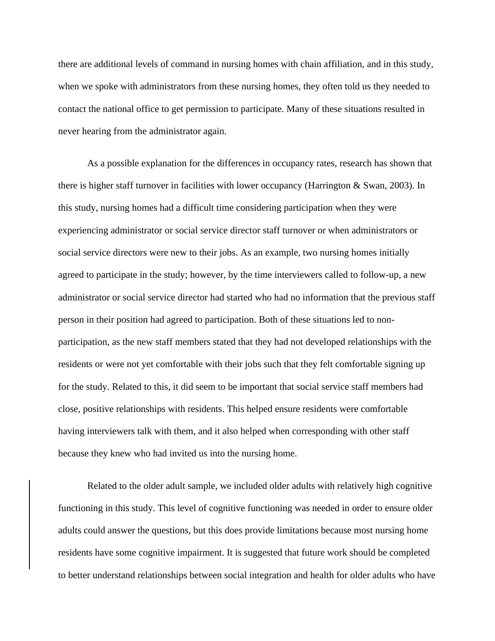there are additional levels of command in nursing homes with chain affiliation, and in this study, when we spoke with administrators from these nursing homes, they often told us they needed to contact the national office to get permission to participate. Many of these situations resulted in never hearing from the administrator again.

As a possible explanation for the differences in occupancy rates, research has shown that there is higher staff turnover in facilities with lower occupancy (Harrington & Swan, 2003). In this study, nursing homes had a difficult time considering participation when they were experiencing administrator or social service director staff turnover or when administrators or social service directors were new to their jobs. As an example, two nursing homes initially agreed to participate in the study; however, by the time interviewers called to follow-up, a new administrator or social service director had started who had no information that the previous staff person in their position had agreed to participation. Both of these situations led to nonparticipation, as the new staff members stated that they had not developed relationships with the residents or were not yet comfortable with their jobs such that they felt comfortable signing up for the study. Related to this, it did seem to be important that social service staff members had close, positive relationships with residents. This helped ensure residents were comfortable having interviewers talk with them, and it also helped when corresponding with other staff because they knew who had invited us into the nursing home.

Related to the older adult sample, we included older adults with relatively high cognitive functioning in this study. This level of cognitive functioning was needed in order to ensure older adults could answer the questions, but this does provide limitations because most nursing home residents have some cognitive impairment. It is suggested that future work should be completed to better understand relationships between social integration and health for older adults who have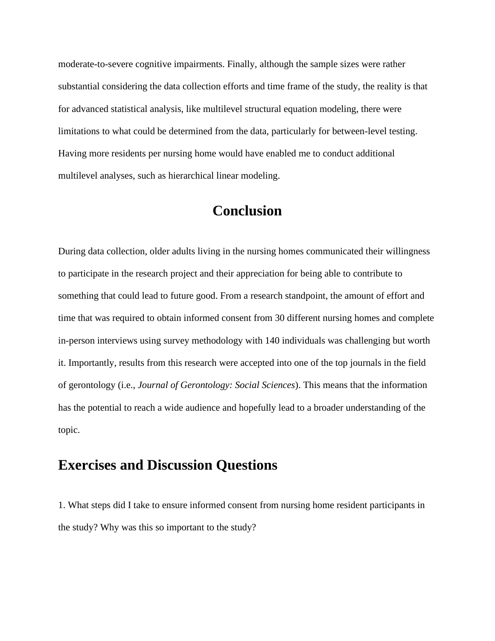moderate-to-severe cognitive impairments. Finally, although the sample sizes were rather substantial considering the data collection efforts and time frame of the study, the reality is that for advanced statistical analysis, like multilevel structural equation modeling, there were limitations to what could be determined from the data, particularly for between-level testing. Having more residents per nursing home would have enabled me to conduct additional multilevel analyses, such as hierarchical linear modeling.

## **Conclusion**

During data collection, older adults living in the nursing homes communicated their willingness to participate in the research project and their appreciation for being able to contribute to something that could lead to future good. From a research standpoint, the amount of effort and time that was required to obtain informed consent from 30 different nursing homes and complete in-person interviews using survey methodology with 140 individuals was challenging but worth it. Importantly, results from this research were accepted into one of the top journals in the field of gerontology (i.e., *Journal of Gerontology: Social Sciences*). This means that the information has the potential to reach a wide audience and hopefully lead to a broader understanding of the topic.

## **Exercises and Discussion Questions**

1. What steps did I take to ensure informed consent from nursing home resident participants in the study? Why was this so important to the study?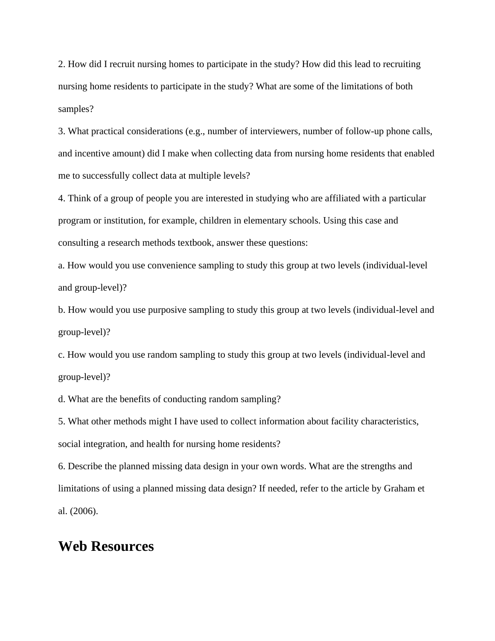2. How did I recruit nursing homes to participate in the study? How did this lead to recruiting nursing home residents to participate in the study? What are some of the limitations of both samples?

3. What practical considerations (e.g., number of interviewers, number of follow-up phone calls, and incentive amount) did I make when collecting data from nursing home residents that enabled me to successfully collect data at multiple levels?

4. Think of a group of people you are interested in studying who are affiliated with a particular program or institution, for example, children in elementary schools. Using this case and consulting a research methods textbook, answer these questions:

a. How would you use convenience sampling to study this group at two levels (individual-level and group-level)?

b. How would you use purposive sampling to study this group at two levels (individual-level and group-level)?

c. How would you use random sampling to study this group at two levels (individual-level and group-level)?

d. What are the benefits of conducting random sampling?

5. What other methods might I have used to collect information about facility characteristics, social integration, and health for nursing home residents?

6. Describe the planned missing data design in your own words. What are the strengths and limitations of using a planned missing data design? If needed, refer to the article by Graham et al. (2006).

## **Web Resources**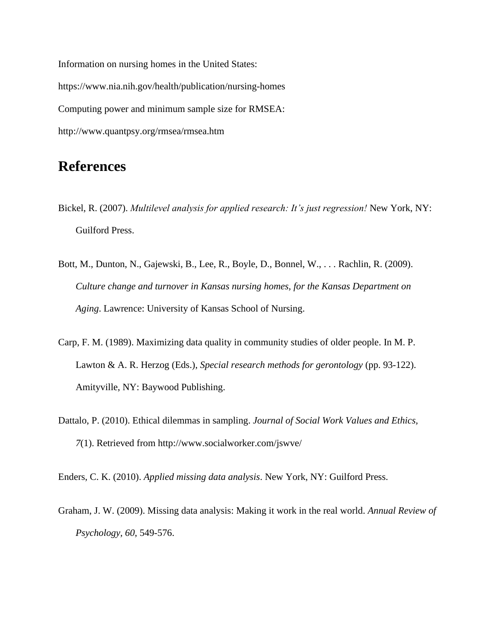Information on nursing homes in the United States: https://www.nia.nih.gov/health/publication/nursing-homes Computing power and minimum sample size for RMSEA: http://www.quantpsy.org/rmsea/rmsea.htm

## **References**

- Bickel, R. (2007). *Multilevel analysis for applied research: It's just regression!* New York, NY: Guilford Press.
- Bott, M., Dunton, N., Gajewski, B., Lee, R., Boyle, D., Bonnel, W., . . . Rachlin, R. (2009). *Culture change and turnover in Kansas nursing homes, for the Kansas Department on Aging*. Lawrence: University of Kansas School of Nursing.
- Carp, F. M. (1989). Maximizing data quality in community studies of older people. In M. P. Lawton & A. R. Herzog (Eds.), *Special research methods for gerontology* (pp. 93-122). Amityville, NY: Baywood Publishing.
- Dattalo, P. (2010). Ethical dilemmas in sampling. *Journal of Social Work Values and Ethics, 7*(1). Retrieved from http://www.socialworker.com/jswve/

Enders, C. K. (2010). *Applied missing data analysis*. New York, NY: Guilford Press.

Graham, J. W. (2009). Missing data analysis: Making it work in the real world. *Annual Review of Psychology, 60*, 549-576.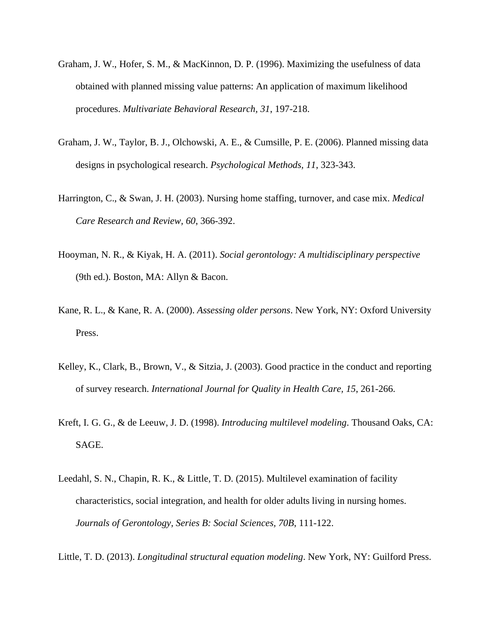- Graham, J. W., Hofer, S. M., & MacKinnon, D. P. (1996). Maximizing the usefulness of data obtained with planned missing value patterns: An application of maximum likelihood procedures. *Multivariate Behavioral Research, 31*, 197-218.
- Graham, J. W., Taylor, B. J., Olchowski, A. E., & Cumsille, P. E. (2006). Planned missing data designs in psychological research. *Psychological Methods, 11*, 323-343.
- Harrington, C., & Swan, J. H. (2003). Nursing home staffing, turnover, and case mix. *Medical Care Research and Review, 60*, 366-392.
- Hooyman, N. R., & Kiyak, H. A. (2011). *Social gerontology: A multidisciplinary perspective* (9th ed.). Boston, MA: Allyn & Bacon.
- Kane, R. L., & Kane, R. A. (2000). *Assessing older persons*. New York, NY: Oxford University Press.
- Kelley, K., Clark, B., Brown, V., & Sitzia, J. (2003). Good practice in the conduct and reporting of survey research. *International Journal for Quality in Health Care, 15*, 261-266.
- Kreft, I. G. G., & de Leeuw, J. D. (1998). *Introducing multilevel modeling*. Thousand Oaks, CA: SAGE.
- Leedahl, S. N., Chapin, R. K., & Little, T. D. (2015). Multilevel examination of facility characteristics, social integration, and health for older adults living in nursing homes. *Journals of Gerontology, Series B: Social Sciences, 70B*, 111-122.
- Little, T. D. (2013). *Longitudinal structural equation modeling*. New York, NY: Guilford Press.